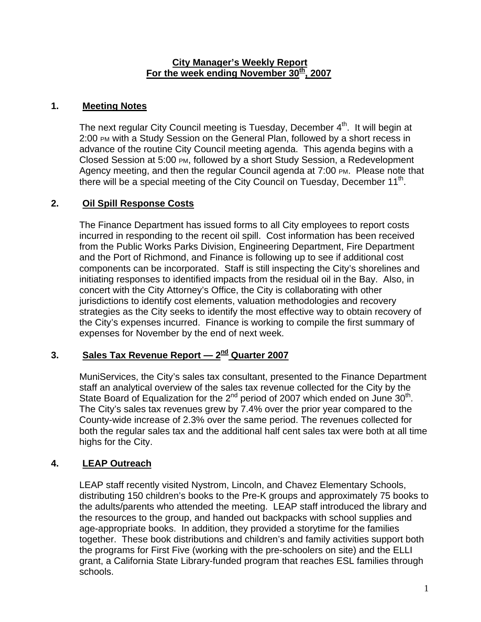#### **City Manager's Weekly Report** For the week ending November 30<sup>th</sup>, 2007

## **1. Meeting Notes**

The next regular City Council meeting is Tuesday, December 4<sup>th</sup>. It will begin at 2:00 PM with a Study Session on the General Plan, followed by a short recess in advance of the routine City Council meeting agenda. This agenda begins with a Closed Session at 5:00 PM, followed by a short Study Session, a Redevelopment Agency meeting, and then the regular Council agenda at 7:00 PM. Please note that there will be a special meeting of the City Council on Tuesday, December  $11<sup>th</sup>$ .

## **2. Oil Spill Response Costs**

The Finance Department has issued forms to all City employees to report costs incurred in responding to the recent oil spill. Cost information has been received from the Public Works Parks Division, Engineering Department, Fire Department and the Port of Richmond, and Finance is following up to see if additional cost components can be incorporated. Staff is still inspecting the City's shorelines and initiating responses to identified impacts from the residual oil in the Bay. Also, in concert with the City Attorney's Office, the City is collaborating with other jurisdictions to identify cost elements, valuation methodologies and recovery strategies as the City seeks to identify the most effective way to obtain recovery of the City's expenses incurred. Finance is working to compile the first summary of expenses for November by the end of next week.

# **3. Sales Tax Revenue Report — 2nd Quarter 2007**

MuniServices, the City's sales tax consultant, presented to the Finance Department staff an analytical overview of the sales tax revenue collected for the City by the State Board of Equalization for the  $2^{nd}$  period of 2007 which ended on June  $30^{th}$ . The City's sales tax revenues grew by 7.4% over the prior year compared to the County-wide increase of 2.3% over the same period. The revenues collected for both the regular sales tax and the additional half cent sales tax were both at all time highs for the City.

# **4. LEAP Outreach**

LEAP staff recently visited Nystrom, Lincoln, and Chavez Elementary Schools, distributing 150 children's books to the Pre-K groups and approximately 75 books to the adults/parents who attended the meeting. LEAP staff introduced the library and the resources to the group, and handed out backpacks with school supplies and age-appropriate books. In addition, they provided a storytime for the families together. These book distributions and children's and family activities support both the programs for First Five (working with the pre-schoolers on site) and the ELLI grant, a California State Library-funded program that reaches ESL families through schools.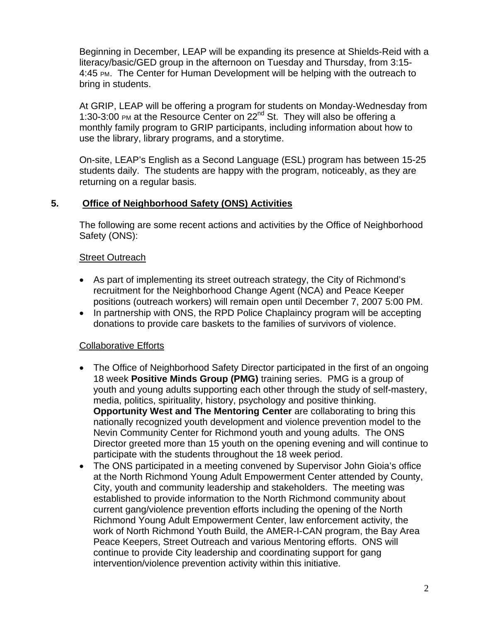Beginning in December, LEAP will be expanding its presence at Shields-Reid with a literacy/basic/GED group in the afternoon on Tuesday and Thursday, from 3:15- 4:45 PM. The Center for Human Development will be helping with the outreach to bring in students.

At GRIP, LEAP will be offering a program for students on Monday-Wednesday from 1:30-3:00 PM at the Resource Center on 22nd St. They will also be offering a monthly family program to GRIP participants, including information about how to use the library, library programs, and a storytime.

On-site, LEAP's English as a Second Language (ESL) program has between 15-25 students daily. The students are happy with the program, noticeably, as they are returning on a regular basis.

## **5. Office of Neighborhood Safety (ONS) Activities**

The following are some recent actions and activities by the Office of Neighborhood Safety (ONS):

### Street Outreach

- As part of implementing its street outreach strategy, the City of Richmond's recruitment for the Neighborhood Change Agent (NCA) and Peace Keeper positions (outreach workers) will remain open until December 7, 2007 5:00 PM.
- In partnership with ONS, the RPD Police Chaplaincy program will be accepting donations to provide care baskets to the families of survivors of violence.

### Collaborative Efforts

- The Office of Neighborhood Safety Director participated in the first of an ongoing 18 week **Positive Minds Group (PMG)** training series. PMG is a group of youth and young adults supporting each other through the study of self-mastery, media, politics, spirituality, history, psychology and positive thinking. **Opportunity West and The Mentoring Center** are collaborating to bring this nationally recognized youth development and violence prevention model to the Nevin Community Center for Richmond youth and young adults. The ONS Director greeted more than 15 youth on the opening evening and will continue to participate with the students throughout the 18 week period.
- The ONS participated in a meeting convened by Supervisor John Gioia's office at the North Richmond Young Adult Empowerment Center attended by County, City, youth and community leadership and stakeholders. The meeting was established to provide information to the North Richmond community about current gang/violence prevention efforts including the opening of the North Richmond Young Adult Empowerment Center, law enforcement activity, the work of North Richmond Youth Build, the AMER-I-CAN program, the Bay Area Peace Keepers, Street Outreach and various Mentoring efforts. ONS will continue to provide City leadership and coordinating support for gang intervention/violence prevention activity within this initiative.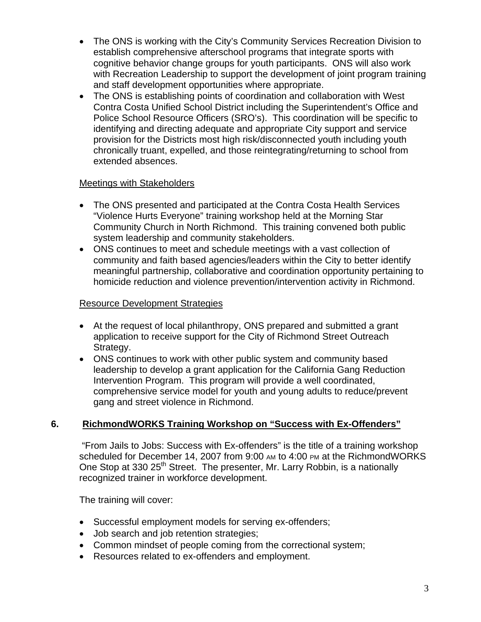- The ONS is working with the City's Community Services Recreation Division to establish comprehensive afterschool programs that integrate sports with cognitive behavior change groups for youth participants. ONS will also work with Recreation Leadership to support the development of joint program training and staff development opportunities where appropriate.
- The ONS is establishing points of coordination and collaboration with West Contra Costa Unified School District including the Superintendent's Office and Police School Resource Officers (SRO's). This coordination will be specific to identifying and directing adequate and appropriate City support and service provision for the Districts most high risk/disconnected youth including youth chronically truant, expelled, and those reintegrating/returning to school from extended absences.

### Meetings with Stakeholders

- The ONS presented and participated at the Contra Costa Health Services "Violence Hurts Everyone" training workshop held at the Morning Star Community Church in North Richmond. This training convened both public system leadership and community stakeholders.
- ONS continues to meet and schedule meetings with a vast collection of community and faith based agencies/leaders within the City to better identify meaningful partnership, collaborative and coordination opportunity pertaining to homicide reduction and violence prevention/intervention activity in Richmond.

### Resource Development Strategies

- At the request of local philanthropy, ONS prepared and submitted a grant application to receive support for the City of Richmond Street Outreach Strategy.
- ONS continues to work with other public system and community based leadership to develop a grant application for the California Gang Reduction Intervention Program. This program will provide a well coordinated, comprehensive service model for youth and young adults to reduce/prevent gang and street violence in Richmond.

### **6. RichmondWORKS Training Workshop on "Success with Ex-Offenders"**

 "From Jails to Jobs: Success with Ex-offenders" is the title of a training workshop scheduled for December 14, 2007 from 9:00 AM to 4:00 PM at the RichmondWORKS One Stop at 330 25<sup>th</sup> Street. The presenter, Mr. Larry Robbin, is a nationally recognized trainer in workforce development.

The training will cover:

- Successful employment models for serving ex-offenders;
- Job search and job retention strategies;
- Common mindset of people coming from the correctional system;
- Resources related to ex-offenders and employment.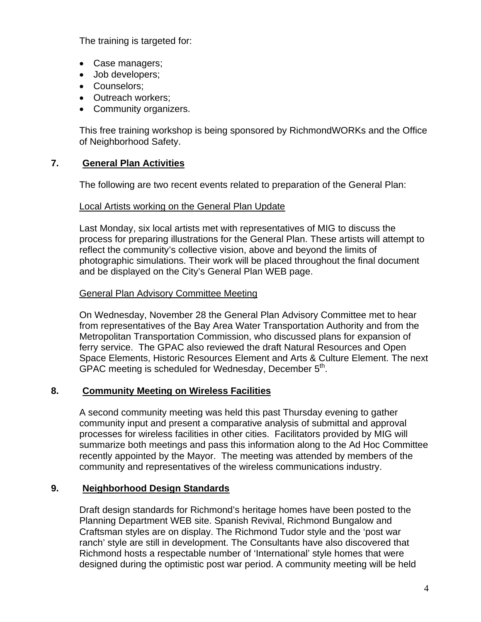The training is targeted for:

- Case managers;
- Job developers;
- Counselors;
- Outreach workers:
- Community organizers.

This free training workshop is being sponsored by RichmondWORKs and the Office of Neighborhood Safety.

# **7. General Plan Activities**

The following are two recent events related to preparation of the General Plan:

## Local Artists working on the General Plan Update

Last Monday, six local artists met with representatives of MIG to discuss the process for preparing illustrations for the General Plan. These artists will attempt to reflect the community's collective vision, above and beyond the limits of photographic simulations. Their work will be placed throughout the final document and be displayed on the City's General Plan WEB page.

# General Plan Advisory Committee Meeting

On Wednesday, November 28 the General Plan Advisory Committee met to hear from representatives of the Bay Area Water Transportation Authority and from the Metropolitan Transportation Commission, who discussed plans for expansion of ferry service. The GPAC also reviewed the draft Natural Resources and Open Space Elements, Historic Resources Element and Arts & Culture Element. The next GPAC meeting is scheduled for Wednesday, December 5<sup>th</sup>.

# **8. Community Meeting on Wireless Facilities**

A second community meeting was held this past Thursday evening to gather community input and present a comparative analysis of submittal and approval processes for wireless facilities in other cities. Facilitators provided by MIG will summarize both meetings and pass this information along to the Ad Hoc Committee recently appointed by the Mayor. The meeting was attended by members of the community and representatives of the wireless communications industry.

# **9. Neighborhood Design Standards**

Draft design standards for Richmond's heritage homes have been posted to the Planning Department WEB site. Spanish Revival, Richmond Bungalow and Craftsman styles are on display. The Richmond Tudor style and the 'post war ranch' style are still in development. The Consultants have also discovered that Richmond hosts a respectable number of 'International' style homes that were designed during the optimistic post war period. A community meeting will be held